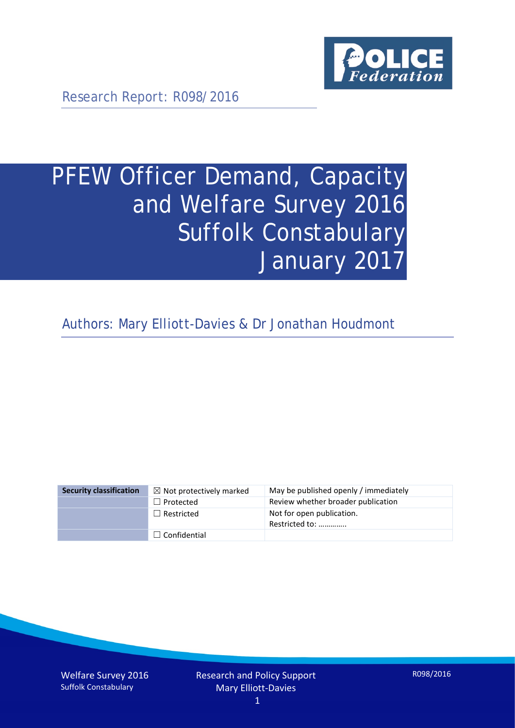

Research Report: R098/2016

# PFEW Officer Demand, Capacity and Welfare Survey 2016 Suffolk Constabulary January 2017

Authors: Mary Elliott-Davies & Dr Jonathan Houdmont

| <b>Security classification</b> | $\boxtimes$ Not protectively marked | May be published openly / immediately       |
|--------------------------------|-------------------------------------|---------------------------------------------|
|                                | $\Box$ Protected                    | Review whether broader publication          |
|                                | $\Box$ Restricted                   | Not for open publication.<br>Restricted to: |
|                                | $\Box$ Confidential                 |                                             |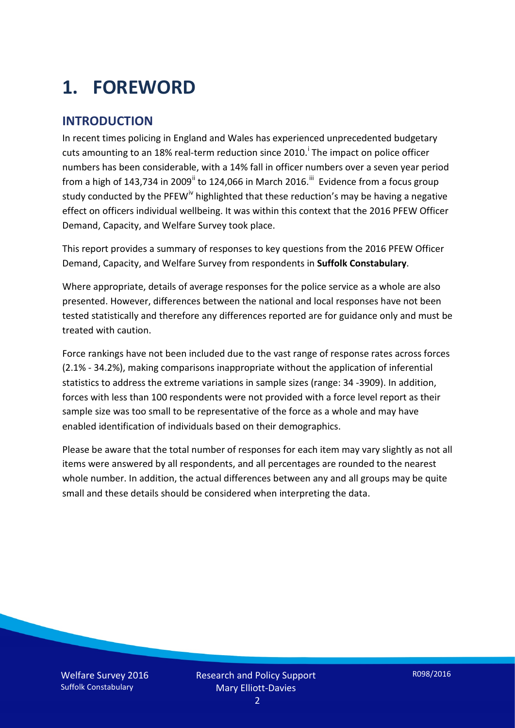# **1. FOREWORD**

### **INTRODUCTION**

In recent times policing in England and Wales has experienced unprecedented budgetary cuts amount[i](#page-15-0)ng to an 18% real-term reduction since 2010.<sup>1</sup> The impact on police officer numbers has been considerable, with a 14% fall in officer numbers over a seven year period from a high of 143,734 in 2009<sup>[ii](#page-15-1)</sup> to 124,066 in March 2016.<sup>[iii](#page-15-2)</sup> Evidence from a focus group study conducted by the PFEW<sup>[iv](#page-15-3)</sup> highlighted that these reduction's may be having a negative effect on officers individual wellbeing. It was within this context that the 2016 PFEW Officer Demand, Capacity, and Welfare Survey took place.

This report provides a summary of responses to key questions from the 2016 PFEW Officer Demand, Capacity, and Welfare Survey from respondents in **Suffolk Constabulary**.

Where appropriate, details of average responses for the police service as a whole are also presented. However, differences between the national and local responses have not been tested statistically and therefore any differences reported are for guidance only and must be treated with caution.

Force rankings have not been included due to the vast range of response rates across forces (2.1% - 34.2%), making comparisons inappropriate without the application of inferential statistics to address the extreme variations in sample sizes (range: 34 -3909). In addition, forces with less than 100 respondents were not provided with a force level report as their sample size was too small to be representative of the force as a whole and may have enabled identification of individuals based on their demographics.

Please be aware that the total number of responses for each item may vary slightly as not all items were answered by all respondents, and all percentages are rounded to the nearest whole number. In addition, the actual differences between any and all groups may be quite small and these details should be considered when interpreting the data.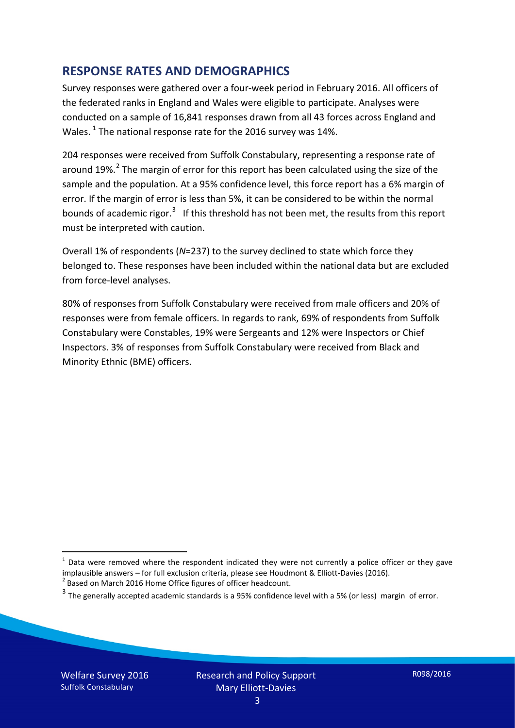### **RESPONSE RATES AND DEMOGRAPHICS**

Survey responses were gathered over a four-week period in February 2016. All officers of the federated ranks in England and Wales were eligible to participate. Analyses were conducted on a sample of 16,841 responses drawn from all 43 forces across England and Wales.  $^1$  $^1$  The national response rate for the 2016 survey was 14%.

204 responses were received from Suffolk Constabulary, representing a response rate of around 19%.<sup>[2](#page-2-1)</sup> The margin of error for this report has been calculated using the size of the sample and the population. At a 95% confidence level, this force report has a 6% margin of error. If the margin of error is less than 5%, it can be considered to be within the normal bounds of academic rigor.<sup>[3](#page-2-2)</sup> If this threshold has not been met, the results from this report must be interpreted with caution.

Overall 1% of respondents (*N*=237) to the survey declined to state which force they belonged to. These responses have been included within the national data but are excluded from force-level analyses.

80% of responses from Suffolk Constabulary were received from male officers and 20% of responses were from female officers. In regards to rank, 69% of respondents from Suffolk Constabulary were Constables, 19% were Sergeants and 12% were Inspectors or Chief Inspectors. 3% of responses from Suffolk Constabulary were received from Black and Minority Ethnic (BME) officers.

<u>.</u>

<span id="page-2-0"></span> $1$  Data were removed where the respondent indicated they were not currently a police officer or they gave implausible answers – for full exclusion criteria, please see Houdmont & Elliott-Davies (2016).<br><sup>2</sup> Based on March 2016 Home Office figures of officer headcount.

<span id="page-2-1"></span>

<span id="page-2-2"></span> $3$  The generally accepted academic standards is a 95% confidence level with a 5% (or less) margin of error.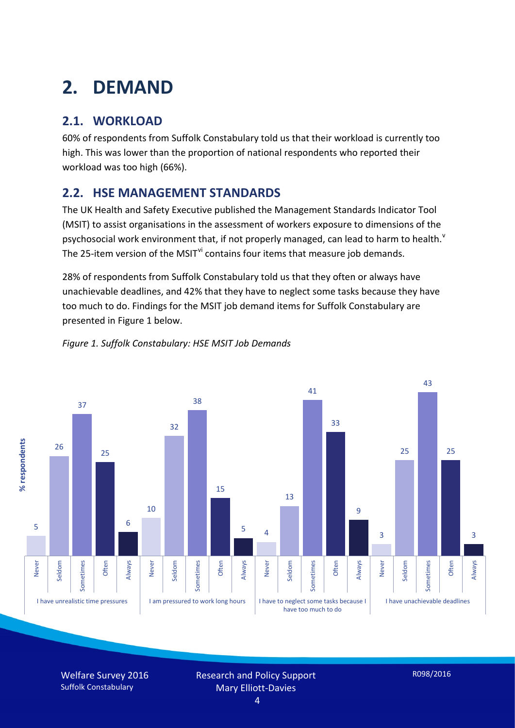# **2. DEMAND**

# **2.1. WORKLOAD**

60% of respondents from Suffolk Constabulary told us that their workload is currently too high. This was lower than the proportion of national respondents who reported their workload was too high (66%).

# **2.2. HSE MANAGEMENT STANDARDS**

The UK Health and Safety Executive published the Management Standards Indicator Tool (MSIT) to assist organisations in the assessment of workers exposure to dimensions of the psychosocial work en[v](#page-15-4)ironment that, if not properly managed, can lead to harm to health.<sup>v</sup> The 25-item version of the MSIT<sup>[vi](#page-15-5)</sup> contains four items that measure job demands.

28% of respondents from Suffolk Constabulary told us that they often or always have unachievable deadlines, and 42% that they have to neglect some tasks because they have too much to do. Findings for the MSIT job demand items for Suffolk Constabulary are presented in Figure 1 below.



#### *Figure 1. Suffolk Constabulary: HSE MSIT Job Demands*

Welfare Survey 2016 Suffolk Constabulary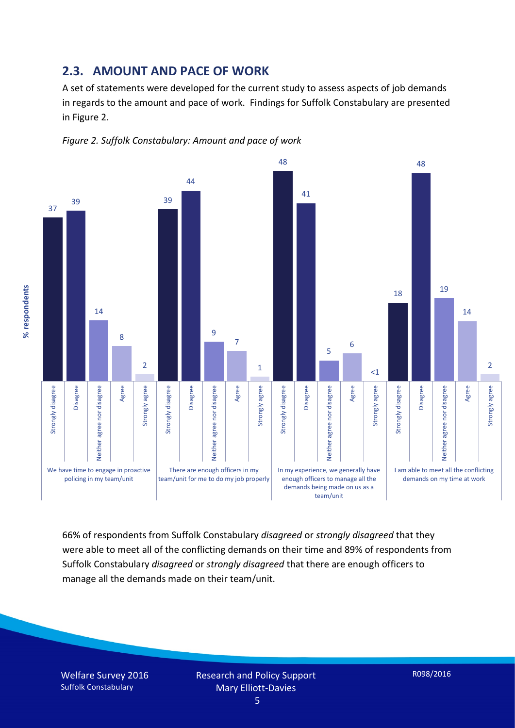#### **2.3. AMOUNT AND PACE OF WORK**

A set of statements were developed for the current study to assess aspects of job demands in regards to the amount and pace of work. Findings for Suffolk Constabulary are presented in Figure 2.





66% of respondents from Suffolk Constabulary *disagreed* or *strongly disagreed* that they were able to meet all of the conflicting demands on their time and 89% of respondents from Suffolk Constabulary *disagreed* or *strongly disagreed* that there are enough officers to manage all the demands made on their team/unit.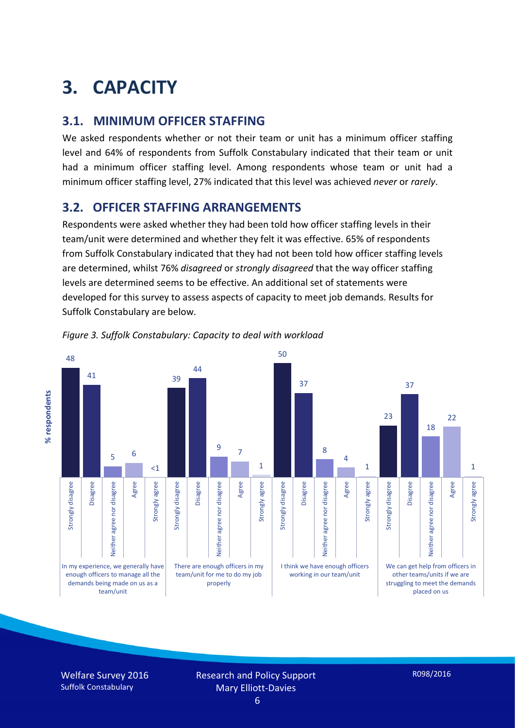# **3. CAPACITY**

### **3.1. MINIMUM OFFICER STAFFING**

We asked respondents whether or not their team or unit has a minimum officer staffing level and 64% of respondents from Suffolk Constabulary indicated that their team or unit had a minimum officer staffing level. Among respondents whose team or unit had a minimum officer staffing level, 27% indicated that this level was achieved *never* or *rarely*.

## **3.2. OFFICER STAFFING ARRANGEMENTS**

Respondents were asked whether they had been told how officer staffing levels in their team/unit were determined and whether they felt it was effective. 65% of respondents from Suffolk Constabulary indicated that they had not been told how officer staffing levels are determined, whilst 76% *disagreed* or *strongly disagreed* that the way officer staffing levels are determined seems to be effective. An additional set of statements were developed for this survey to assess aspects of capacity to meet job demands. Results for Suffolk Constabulary are below.





Welfare Survey 2016 Suffolk Constabulary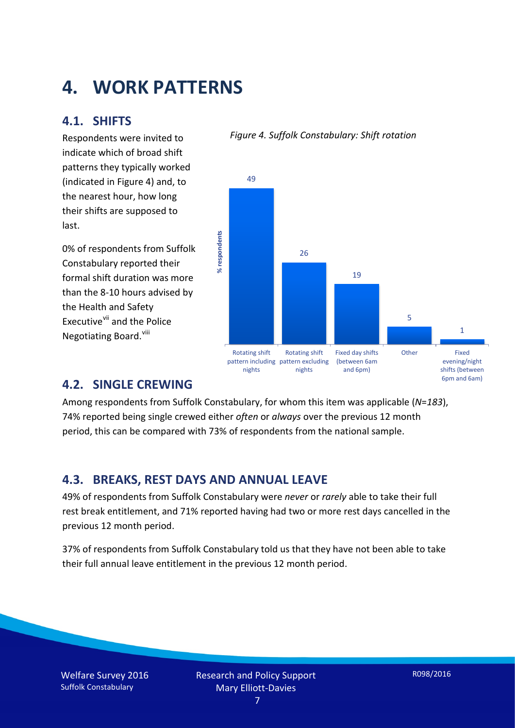# **4. WORK PATTERNS**

### **4.1. SHIFTS**

Respondents were invited to indicate which of broad shift patterns they typically worked (indicated in Figure 4) and, to the nearest hour, how long their shifts are supposed to last.

0% of respondents from Suffolk Constabulary reported their formal shift duration was more than the 8-10 hours advised by the Health and Safety Executive<sup>[vii](#page-15-6)</sup> and the Police Negotiating Board.<sup>[viii](#page-15-7)</sup>

#### *Figure 4. Suffolk Constabulary: Shift rotation*



### **4.2. SINGLE CREWING**

Among respondents from Suffolk Constabulary, for whom this item was applicable (*N*=*183*), 74% reported being single crewed either *often* or *always* over the previous 12 month period, this can be compared with 73% of respondents from the national sample.

### **4.3. BREAKS, REST DAYS AND ANNUAL LEAVE**

49% of respondents from Suffolk Constabulary were *never* or *rarely* able to take their full rest break entitlement, and 71% reported having had two or more rest days cancelled in the previous 12 month period.

37% of respondents from Suffolk Constabulary told us that they have not been able to take their full annual leave entitlement in the previous 12 month period.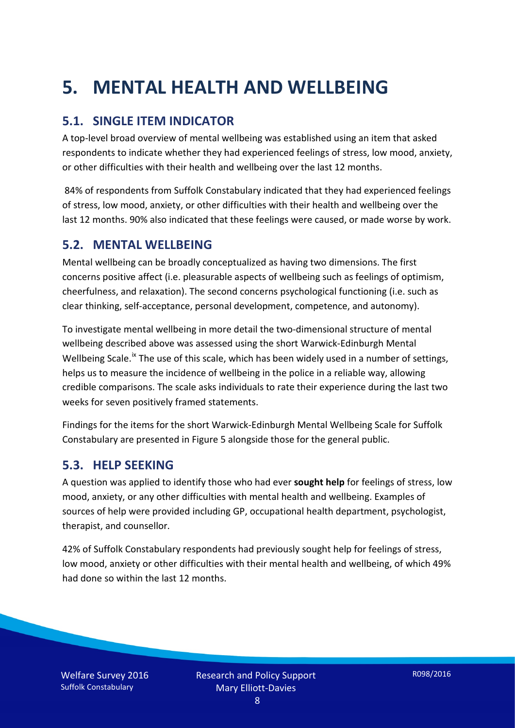# **5. MENTAL HEALTH AND WELLBEING**

# **5.1. SINGLE ITEM INDICATOR**

A top-level broad overview of mental wellbeing was established using an item that asked respondents to indicate whether they had experienced feelings of stress, low mood, anxiety, or other difficulties with their health and wellbeing over the last 12 months.

84% of respondents from Suffolk Constabulary indicated that they had experienced feelings of stress, low mood, anxiety, or other difficulties with their health and wellbeing over the last 12 months. 90% also indicated that these feelings were caused, or made worse by work.

### **5.2. MENTAL WELLBEING**

Mental wellbeing can be broadly conceptualized as having two dimensions. The first concerns positive affect (i.e. pleasurable aspects of wellbeing such as feelings of optimism, cheerfulness, and relaxation). The second concerns psychological functioning (i.e. such as clear thinking, self-acceptance, personal development, competence, and autonomy).

To investigate mental wellbeing in more detail the two-dimensional structure of mental wellbeing described above was assessed using the short Warwick-Edinburgh Mental Wellbeing Scale.<sup>[ix](#page-15-8)</sup> The use of this scale, which has been widely used in a number of settings, helps us to measure the incidence of wellbeing in the police in a reliable way, allowing credible comparisons. The scale asks individuals to rate their experience during the last two weeks for seven positively framed statements.

Findings for the items for the short Warwick-Edinburgh Mental Wellbeing Scale for Suffolk Constabulary are presented in Figure 5 alongside those for the general public.

### **5.3. HELP SEEKING**

A question was applied to identify those who had ever **sought help** for feelings of stress, low mood, anxiety, or any other difficulties with mental health and wellbeing. Examples of sources of help were provided including GP, occupational health department, psychologist, therapist, and counsellor.

42% of Suffolk Constabulary respondents had previously sought help for feelings of stress, low mood, anxiety or other difficulties with their mental health and wellbeing, of which 49% had done so within the last 12 months.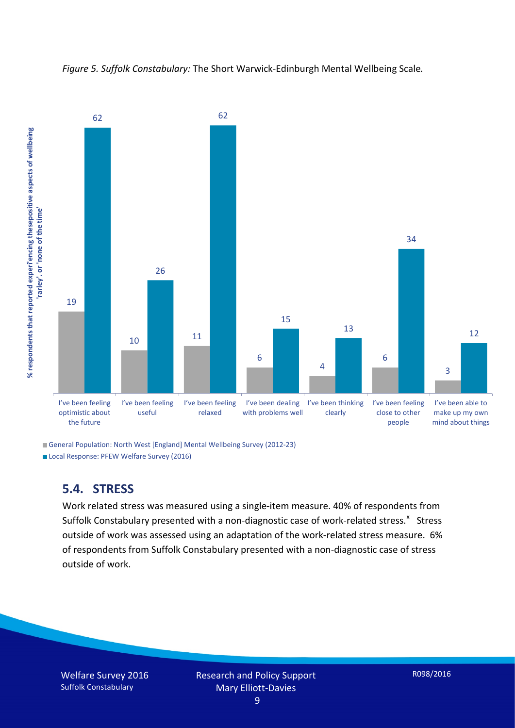



General Population: North West [England] Mental Wellbeing Survey (2012-23) Local Response: PFEW Welfare Survey (2016)

### **5.4. STRESS**

Work related stress was measured using a single-item measure. 40% of respondents from Suffolk Constabulary presented with a non-diagnostic case of work-related stress.<sup>[x](#page-15-9)</sup> Stress outside of work was assessed using an adaptation of the work-related stress measure. 6% of respondents from Suffolk Constabulary presented with a non-diagnostic case of stress outside of work.

Welfare Survey 2016 Suffolk Constabulary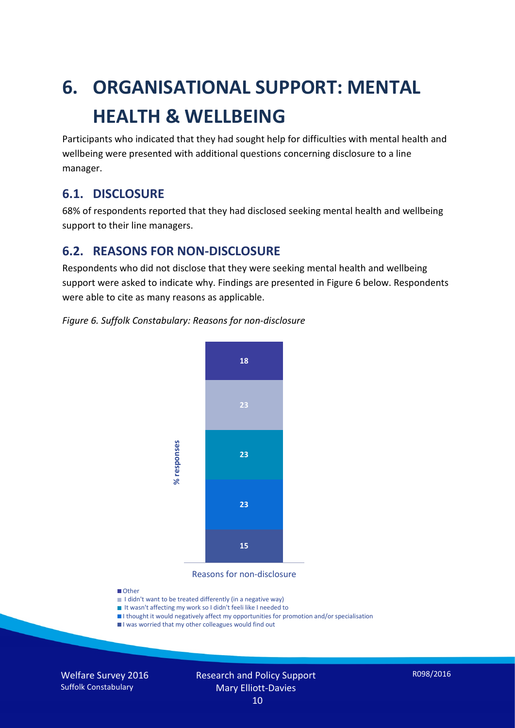# **6. ORGANISATIONAL SUPPORT: MENTAL HEALTH & WELLBEING**

Participants who indicated that they had sought help for difficulties with mental health and wellbeing were presented with additional questions concerning disclosure to a line manager.

### **6.1. DISCLOSURE**

68% of respondents reported that they had disclosed seeking mental health and wellbeing support to their line managers.

## **6.2. REASONS FOR NON-DISCLOSURE**

Respondents who did not disclose that they were seeking mental health and wellbeing support were asked to indicate why. Findings are presented in Figure 6 below. Respondents were able to cite as many reasons as applicable.

#### *Figure 6. Suffolk Constabulary: Reasons for non-disclosure*



Reasons for non-disclosure

#### **D**Other

- I didn't want to be treated differently (in a negative way)
- I It wasn't affecting my work so I didn't feeli like I needed to
- I thought it would negatively affect my opportunities for promotion and/or specialisation
- I was worried that my other colleagues would find out

Welfare Survey 2016 Suffolk Constabulary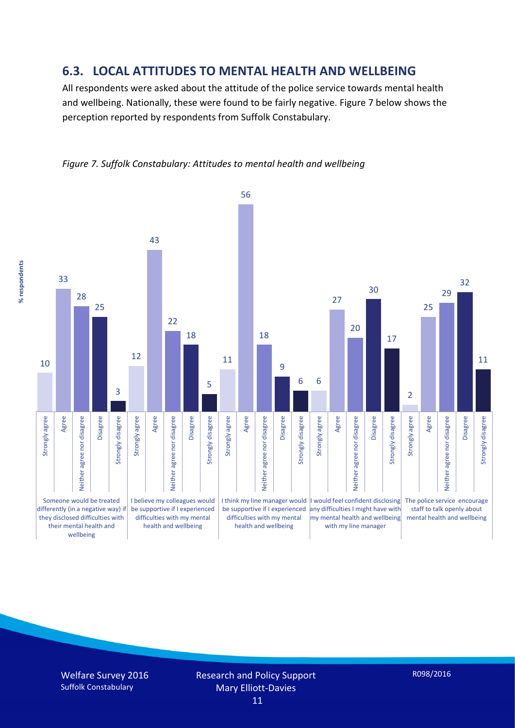#### **6.3. LOCAL ATTITUDES TO MENTAL HEALTH AND WELLBEING**

All respondents were asked about the attitude of the police service towards mental health and wellbeing. Nationally, these were found to be fairly negative. Figure 7 below shows the perception reported by respondents from Suffolk Constabulary.



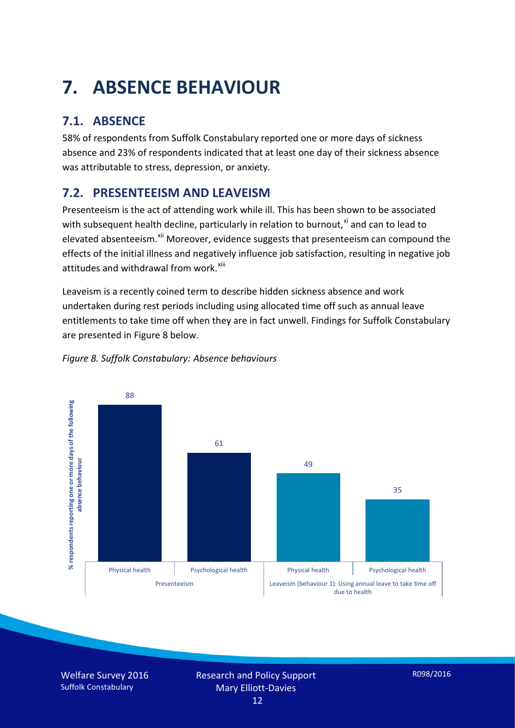# **7. ABSENCE BEHAVIOUR**

# **7.1. ABSENCE**

58% of respondents from Suffolk Constabulary reported one or more days of sickness absence and 23% of respondents indicated that at least one day of their sickness absence was attributable to stress, depression, or anxiety.

# **7.2. PRESENTEEISM AND LEAVEISM**

Presenteeism is the act of attending work while ill. This has been shown to be associated with subsequent health decline, particularly in relation to burnout, $x_i$  and can to lead to elevated absenteeism.<sup>[xii](#page-16-1)</sup> Moreover, evidence suggests that presenteeism can compound the effects of the initial illness and negatively influence job satisfaction, resulting in negative job attitudes and withdrawal from work.<sup>[xiii](#page-16-2)</sup>

Leaveism is a recently coined term to describe hidden sickness absence and work undertaken during rest periods including using allocated time off such as annual leave entitlements to take time off when they are in fact unwell. Findings for Suffolk Constabulary are presented in Figure 8 below.



#### *Figure 8. Suffolk Constabulary: Absence behaviours*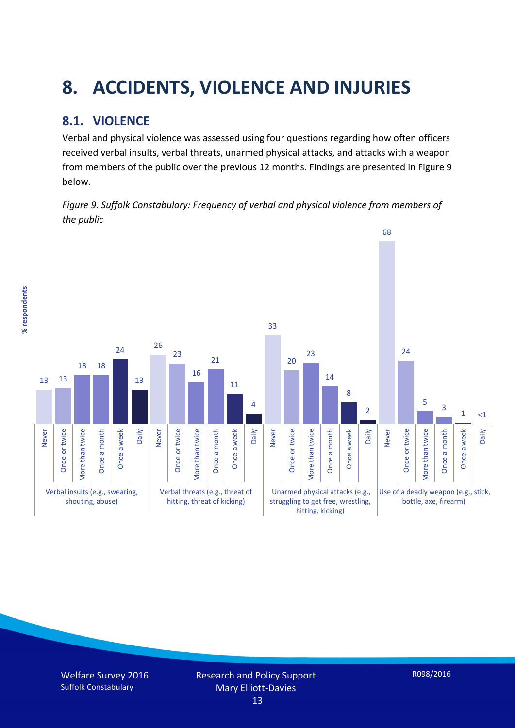# **8. ACCIDENTS, VIOLENCE AND INJURIES**

# **8.1. VIOLENCE**

Verbal and physical violence was assessed using four questions regarding how often officers received verbal insults, verbal threats, unarmed physical attacks, and attacks with a weapon from members of the public over the previous 12 months. Findings are presented in Figure 9 below.

*Figure 9. Suffolk Constabulary: Frequency of verbal and physical violence from members of the public*

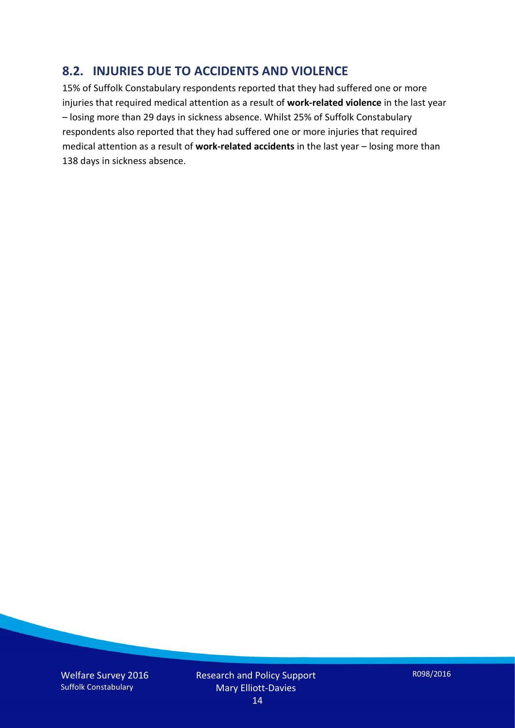### **8.2. INJURIES DUE TO ACCIDENTS AND VIOLENCE**

15% of Suffolk Constabulary respondents reported that they had suffered one or more injuries that required medical attention as a result of **work-related violence** in the last year – losing more than 29 days in sickness absence. Whilst 25% of Suffolk Constabulary respondents also reported that they had suffered one or more injuries that required medical attention as a result of **work-related accidents** in the last year – losing more than 138 days in sickness absence.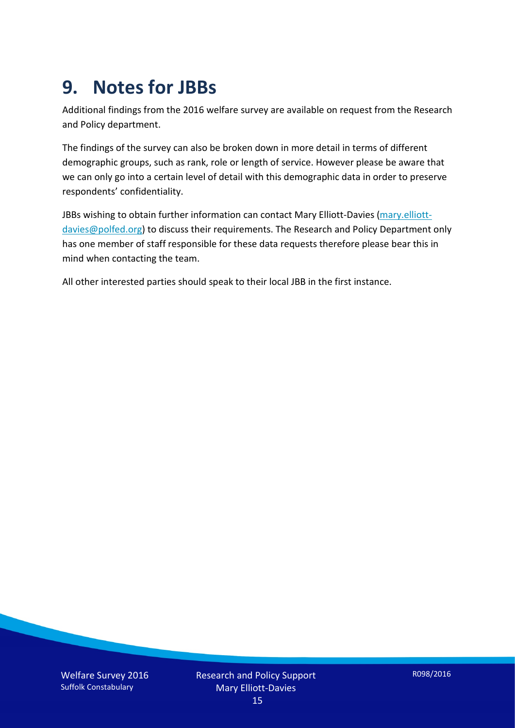# **9. Notes for JBBs**

Additional findings from the 2016 welfare survey are available on request from the Research and Policy department.

The findings of the survey can also be broken down in more detail in terms of different demographic groups, such as rank, role or length of service. However please be aware that we can only go into a certain level of detail with this demographic data in order to preserve respondents' confidentiality.

JBBs wishing to obtain further information can contact Mary Elliott-Davies [\(mary.elliott](mailto:mary.elliott-davies@polfed.org)[davies@polfed.org\)](mailto:mary.elliott-davies@polfed.org) to discuss their requirements. The Research and Policy Department only has one member of staff responsible for these data requests therefore please bear this in mind when contacting the team.

All other interested parties should speak to their local JBB in the first instance.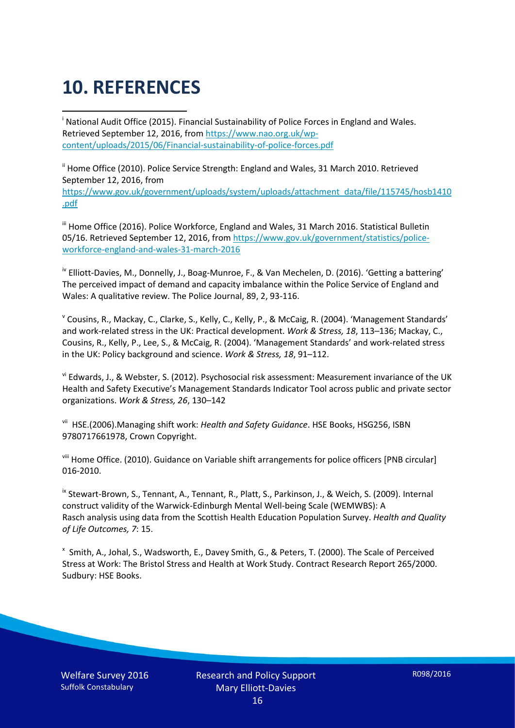# **10. REFERENCES**

<span id="page-15-0"></span>i National Audit Office (2015). Financial Sustainability of Police Forces in England and Wales. Retrieved September 12, 2016, fro[m https://www.nao.org.uk/wp](https://www.nao.org.uk/wp-content/uploads/2015/06/Financial-sustainability-of-police-forces.pdf)[content/uploads/2015/06/Financial-sustainability-of-police-forces.pdf](https://www.nao.org.uk/wp-content/uploads/2015/06/Financial-sustainability-of-police-forces.pdf)

<span id="page-15-1"></span><sup>ii</sup> Home Office (2010). Police Service Strength: England and Wales, 31 March 2010. Retrieved September 12, 2016, from [https://www.gov.uk/government/uploads/system/uploads/attachment\\_data/file/115745/hosb1410](https://www.gov.uk/government/uploads/system/uploads/attachment_data/file/115745/hosb1410.pdf) [.pdf](https://www.gov.uk/government/uploads/system/uploads/attachment_data/file/115745/hosb1410.pdf)

<span id="page-15-2"></span><sup>iii</sup> Home Office (2016). Police Workforce, England and Wales, 31 March 2016. Statistical Bulletin 05/16. Retrieved September 12, 2016, fro[m https://www.gov.uk/government/statistics/police](https://www.gov.uk/government/statistics/police-workforce-england-and-wales-31-march-2016)[workforce-england-and-wales-31-march-2016](https://www.gov.uk/government/statistics/police-workforce-england-and-wales-31-march-2016)

<span id="page-15-3"></span><sup>iv</sup> Elliott-Davies, M., Donnelly, J., Boag-Munroe, F., & Van Mechelen, D. (2016). 'Getting a battering' The perceived impact of demand and capacity imbalance within the Police Service of England and Wales: A qualitative review. The Police Journal, 89, 2, 93-116.

<span id="page-15-4"></span><sup>v</sup> Cousins, R., Mackay, C., Clarke, S., Kelly, C., Kelly, P., & McCaig, R. (2004). 'Management Standards' and work-related stress in the UK: Practical development. *Work & Stress, 18*, 113–136; Mackay, C., Cousins, R., Kelly, P., Lee, S., & McCaig, R. (2004). 'Management Standards' and work-related stress in the UK: Policy background and science. *Work & Stress, 18*, 91–112.

<span id="page-15-5"></span>vi Edwards, J., & Webster, S. (2012). Psychosocial risk assessment: Measurement invariance of the UK Health and Safety Executive's Management Standards Indicator Tool across public and private sector organizations. *Work & Stress, 26*, 130–142

<span id="page-15-6"></span>vii HSE.(2006).Managing shift work: *Health and Safety Guidance*. HSE Books, HSG256, ISBN 9780717661978, Crown Copyright.

<span id="page-15-7"></span>viii Home Office. (2010). Guidance on Variable shift arrangements for police officers [PNB circular] 016-2010.

<span id="page-15-8"></span><sup>ix</sup> Stewart-Brown, S., Tennant, A., Tennant, R., Platt, S., Parkinson, J., & Weich, S. (2009). Internal construct validity of the Warwick-Edinburgh Mental Well-being Scale (WEMWBS): A Rasch analysis using data from the Scottish Health Education Population Survey. *Health and Quality of Life Outcomes, 7*: 15.

<span id="page-15-9"></span>x Smith, A., Johal, S., Wadsworth, E., Davey Smith, G., & Peters, T. (2000). The Scale of Perceived Stress at Work: The Bristol Stress and Health at Work Study. Contract Research Report 265/2000. Sudbury: HSE Books.